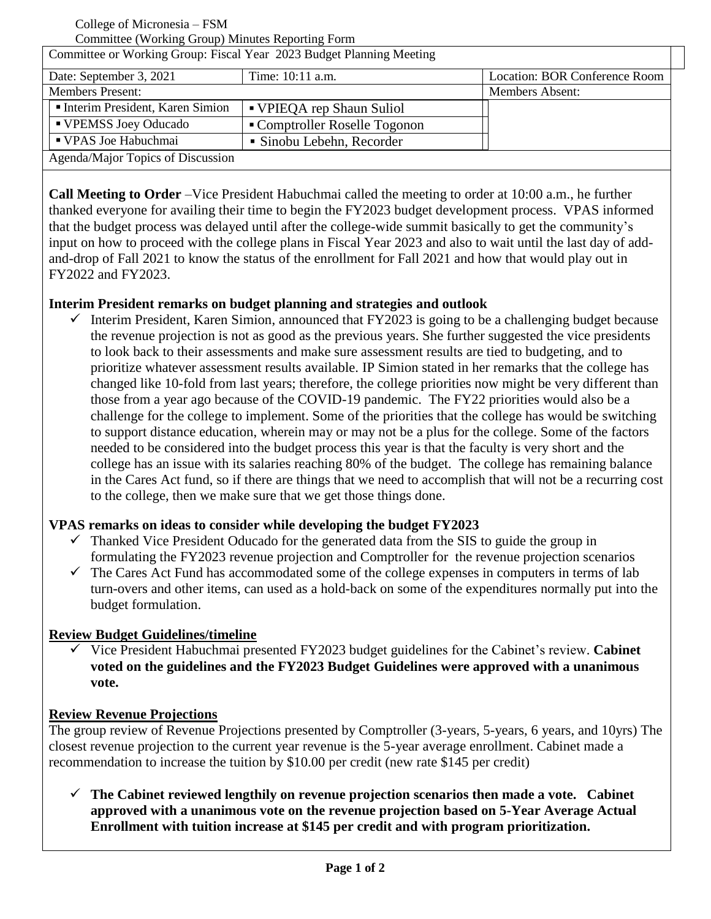College of Micronesia – FSM

Committee (Working Group) Minutes Reporting Form

| Committee or Working Group: Fiscal Year 2023 Budget Planning Meeting |                               |                               |
|----------------------------------------------------------------------|-------------------------------|-------------------------------|
| Date: September 3, 2021                                              | Time: 10:11 a.m.              | Location: BOR Conference Room |
| <b>Members Present:</b>                                              |                               | <b>Members Absent:</b>        |
| Interim President, Karen Simion                                      | • VPIEQA rep Shaun Suliol     |                               |
| ■ VPEMSS Joey Oducado                                                | • Comptroller Roselle Togonon |                               |
| ■ VPAS Joe Habuchmai                                                 | • Sinobu Lebehn, Recorder     |                               |
| Agenda/Major Topics of Discussion                                    |                               |                               |

**Call Meeting to Order** –Vice President Habuchmai called the meeting to order at 10:00 a.m., he further thanked everyone for availing their time to begin the FY2023 budget development process. VPAS informed that the budget process was delayed until after the college-wide summit basically to get the community's input on how to proceed with the college plans in Fiscal Year 2023 and also to wait until the last day of addand-drop of Fall 2021 to know the status of the enrollment for Fall 2021 and how that would play out in FY2022 and FY2023.

# **Interim President remarks on budget planning and strategies and outlook**

 $\checkmark$  Interim President, Karen Simion, announced that FY2023 is going to be a challenging budget because the revenue projection is not as good as the previous years. She further suggested the vice presidents to look back to their assessments and make sure assessment results are tied to budgeting, and to prioritize whatever assessment results available. IP Simion stated in her remarks that the college has changed like 10-fold from last years; therefore, the college priorities now might be very different than those from a year ago because of the COVID-19 pandemic. The FY22 priorities would also be a challenge for the college to implement. Some of the priorities that the college has would be switching to support distance education, wherein may or may not be a plus for the college. Some of the factors needed to be considered into the budget process this year is that the faculty is very short and the college has an issue with its salaries reaching 80% of the budget. The college has remaining balance in the Cares Act fund, so if there are things that we need to accomplish that will not be a recurring cost to the college, then we make sure that we get those things done.

#### **VPAS remarks on ideas to consider while developing the budget FY2023**

- $\checkmark$  Thanked Vice President Oducado for the generated data from the SIS to guide the group in formulating the FY2023 revenue projection and Comptroller for the revenue projection scenarios
- $\checkmark$  The Cares Act Fund has accommodated some of the college expenses in computers in terms of lab turn-overs and other items, can used as a hold-back on some of the expenditures normally put into the budget formulation.

# **Review Budget Guidelines/timeline**

 Vice President Habuchmai presented FY2023 budget guidelines for the Cabinet's review. **Cabinet voted on the guidelines and the FY2023 Budget Guidelines were approved with a unanimous vote.**

# **Review Revenue Projections**

The group review of Revenue Projections presented by Comptroller (3-years, 5-years, 6 years, and 10yrs) The closest revenue projection to the current year revenue is the 5-year average enrollment. Cabinet made a recommendation to increase the tuition by \$10.00 per credit (new rate \$145 per credit)

 $\checkmark$  The Cabinet reviewed lengthily on revenue projection scenarios then made a vote. Cabinet **approved with a unanimous vote on the revenue projection based on 5-Year Average Actual Enrollment with tuition increase at \$145 per credit and with program prioritization.**